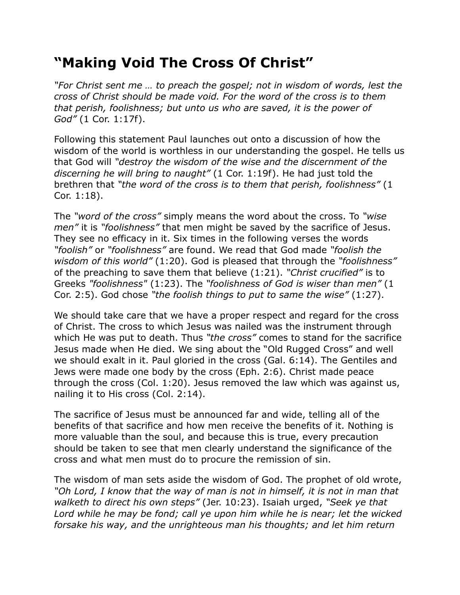## **"Making Void The Cross Of Christ"**

*"For Christ sent me … to preach the gospel; not in wisdom of words, lest the cross of Christ should be made void. For the word of the cross is to them that perish, foolishness; but unto us who are saved, it is the power of God"* (1 Cor. 1:17f).

Following this statement Paul launches out onto a discussion of how the wisdom of the world is worthless in our understanding the gospel. He tells us that God will *"destroy the wisdom of the wise and the discernment of the discerning he will bring to naught"* (1 Cor. 1:19f). He had just told the brethren that *"the word of the cross is to them that perish, foolishness"* (1 Cor. 1:18).

The *"word of the cross"* simply means the word about the cross. To *"wise men"* it is *"foolishness"* that men might be saved by the sacrifice of Jesus. They see no efficacy in it. Six times in the following verses the words *"foolish"* or *"foolishness"* are found. We read that God made *"foolish the wisdom of this world"* (1:20). God is pleased that through the *"foolishness"* of the preaching to save them that believe (1:21). *"Christ crucified"* is to Greeks *"foolishness"* (1:23). The *"foolishness of God is wiser than men"* (1 Cor. 2:5). God chose *"the foolish things to put to same the wise"* (1:27).

We should take care that we have a proper respect and regard for the cross of Christ. The cross to which Jesus was nailed was the instrument through which He was put to death. Thus *"the cross"* comes to stand for the sacrifice Jesus made when He died. We sing about the "Old Rugged Cross" and well we should exalt in it. Paul gloried in the cross (Gal. 6:14). The Gentiles and Jews were made one body by the cross (Eph. 2:6). Christ made peace through the cross (Col. 1:20). Jesus removed the law which was against us, nailing it to His cross (Col. 2:14).

The sacrifice of Jesus must be announced far and wide, telling all of the benefits of that sacrifice and how men receive the benefits of it. Nothing is more valuable than the soul, and because this is true, every precaution should be taken to see that men clearly understand the significance of the cross and what men must do to procure the remission of sin.

The wisdom of man sets aside the wisdom of God. The prophet of old wrote, *"Oh Lord, I know that the way of man is not in himself, it is not in man that walketh to direct his own steps"* (Jer. 10:23). Isaiah urged, *"Seek ye that Lord while he may be fond; call ye upon him while he is near; let the wicked forsake his way, and the unrighteous man his thoughts; and let him return*